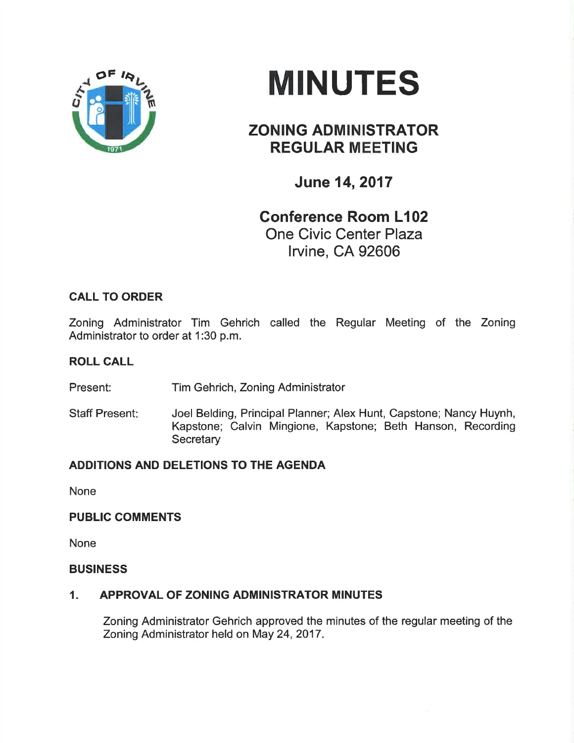

# **MINUTES**

## ZONING ADMINISTRATOR REGULAR MEETING

June 14,2017

## Conference Room L102 One Civic Center Plaza lrvine, CA 92606

### CALL TO ORDER

Zoning Administrator Tim Gehrich called the Regular Meeting of the Zoning Administrator to order at 1:30 p.m.

#### ROLL CALL

Present: Tim Gehrich, Zoning Administrator

Staff Present: Joel Belding, Principal Planner; Alex Hunt, Capstone; Nancy Huynh, Kapstone; Calvin Mingione, Kapstone; Beth Hanson, Recording **Secretary** 

#### ADDITIONS AND DELETIONS TO THE AGENDA

None

#### PUBLIC COMMENTS

None

#### **BUSINESS**

#### 1. APPROVAL OF ZONING ADMINISTRATOR MINUTES

Zoning Administrator Gehrich approved the minutes of the regular meeting of the Zoning Administrator held on May 24,2017.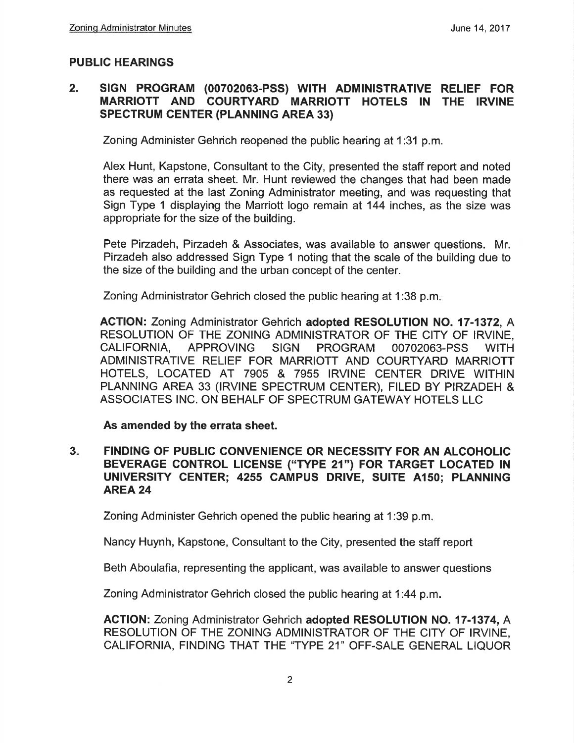#### PUBLIC HEARINGS

#### 2. slGN PROGRAM (00702063-pSS) WITH ADM|NISTRATIVE RELIEF FOR MARRIOTT AND COURTYARD MARRIOTT HOTELS IN THE IRVINE SPECTRUM CENTER (PLANN|NG AREA 33)

Zoning Administer Gehrich reopened the public hearing at 1:31 p.m.

Alex Hunt, Kapstone, Consultant to the City, presented the staff report and noted there was an errata sheet. Mr. Hunt reviewed the changes that had been made as requested at the last Zoning Administrator meeting, and was requesting that Sign Type 1 displaying the Marriott Iogo remain at 144 inches, as the size was appropriate for the size of the building.

Pete Pirzadeh, Pirzadeh & Associates, was available to answer questions. Mr. Pirzadeh also addressed Sign Type 1 noting that the scale of the building due to the size of the building and the urban concept of the center.

Zoning Administrator Gehrich closed the public hearing at 1:38 p.m

ACTION: Zoning Administrator Gehrich adopted RESOLUTION NO. 17-1372, A RESOLUTION OF THE ZONING ADMINISTRATOR OF THE CITY OF IRVINE, CALIFORNIA, APPROVING SIGN PROGRAM OO7O2O63-PSS WITH ADMINISTRATIVE RELIEF FOR MARRIOTT AND COURTYARD MARRIOTT HOTELS, LOCATED AT 7905 & 7955 IRVINE CENTER DRIVE WITHIN PLANNING AREA 33 (IRVINE SPECTRUM CENTER), FILED BY PIRZADEH & ASSOCIATES INC. ON BEHALF OF SPECTRUM GATEWAY HOTELS LLC

As amended by the errata sheet.

 $3<sub>ii</sub>$ FINDING OF PUBLIC CONVENIENCE OR NECESSITY FOR AN ALCOHOLIC BEVERAGE CONTROL LICENSE ("TYPE 21") FOR TARGET LOCATED IN UNIVERSITY CENTER; 4255 CAMPUS DRIVE, SUITE A150; PLANNING AREA 24

Zoning Administer Gehrich opened the public hearing at 1:39 p.m.

Nancy Huynh, Kapstone, Consultant to the City, presented the staff report

Beth Aboulafia, representing the applicant, was available to answer questions

Zoning Administrator Gehrich closed the public hearing at 1:44 p.m.

ACTION: Zoning Administrator Gehrich adopted RESOLUTION NO. 17-1374, A RESOLUTION OF THE ZONING ADMINISTRATOR OF THE CITY OF IRVINE, CALIFORNIA, FINDING THAT THE 'TYPE 21" OFF.SALE GENERAL LIQUOR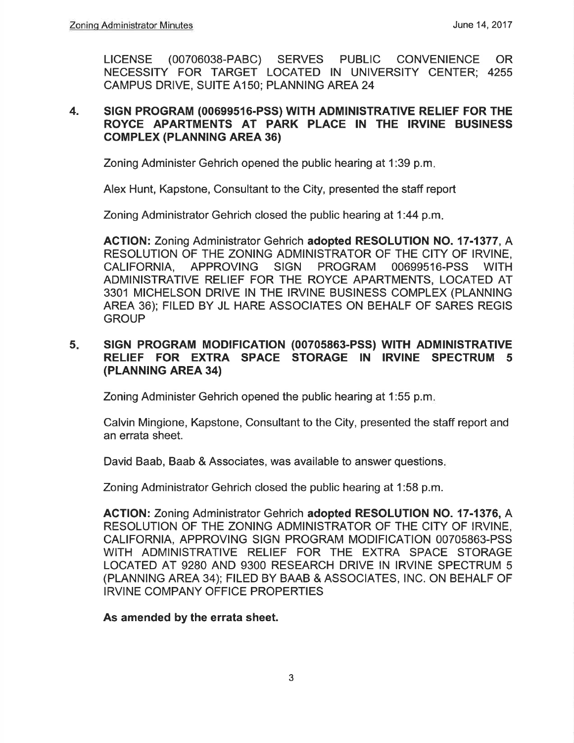LICENSE (00706038-PABC) SERVES PUBLIC CONVENIENCE OR NECESSITY FOR TARGET LOCATED lN UNIVERSITY CENTER; <sup>4255</sup> CAMPUS DRIVE, SUITE 4150; PLANNING AREA 24

#### 4. SIGN PROGRAM (00699516-PSS) WITH ADMINISTRATIVE RELIEF FOR THE ROYCE APARTMENTS AT PARK PLACE IN THE IRVINE BUSINESS **COMPLEX (PLANNING AREA 36)**

Zoning Administer Gehrich opened the public hearing at 1:39 p.m

Alex Hunt, Kapstone, Consultant to the City, presented the staff report

Zoning Administrator Gehrich closed the public hearing at 1:44 p.m

ACTION: Zoning Administrator Gehrich adopted RESOLUTION NO. 17-1377, A RESOLUTION OF THE ZONING ADMINISTRATOR OF THE CITY OF IRVINE, CALIFORNIA, APPROVING SIGN PROGRAM 00699516.PSS WITH ADMINISTRATIVE RELIEF FOR THE ROYCE APARTMENTS, LOCATED AT 3301 MICHELSON DRIVE IN THE IRVINE BUSINESS COMPLEX (PLANNING AREA 36); FILED BY JL HARE ASSOCIATES ON BEHALF OF SARES REGIS **GROUP** 

#### 5. SIGN PROGRAM MODIFICATION (00705863-PSS) WITH ADMINISTRATIVE RELIEF FOR EXTRA SPACE STORAGE IN IRVINE SPECTRUM <sup>5</sup> (PLANNING AREA 34)

Zoning Administer Gehrich opened the public hearing at 1:55 p.m

Calvin Mingione, Kapstone, Consultant to the City, presented the staff report and an errata sheet.

David Baab, Baab & Associates, was available to answer questions

Zoning Administrator Gehrich closed the public hearing at 1:58 p.m.

AGTION: Zoning Administrator Gehrich adopted RESOLUTION NO. 17-1376, A RESOLUTION OF THE ZONING ADMINISTRATOR OF THE CITY OF IRVINE, CALIFORNIA, APPROVING SIGN PROGRAM MODIFICATION 00705863-PSS W]TH ADMINISTRATIVE RELIEF FOR THE EXTRA SPACE STORAGE LOCATED AT 92BO AND 93OO RESEARCH DRIVE IN IRVINE SPECTRUM 5 (PLANNING AREA 3a); FILED BY BAAB & ASSOCIATES, lNC. ON BEHALF OF IRVINE COMPANY OFFICE PROPERTIES

As amended by the errata sheet.